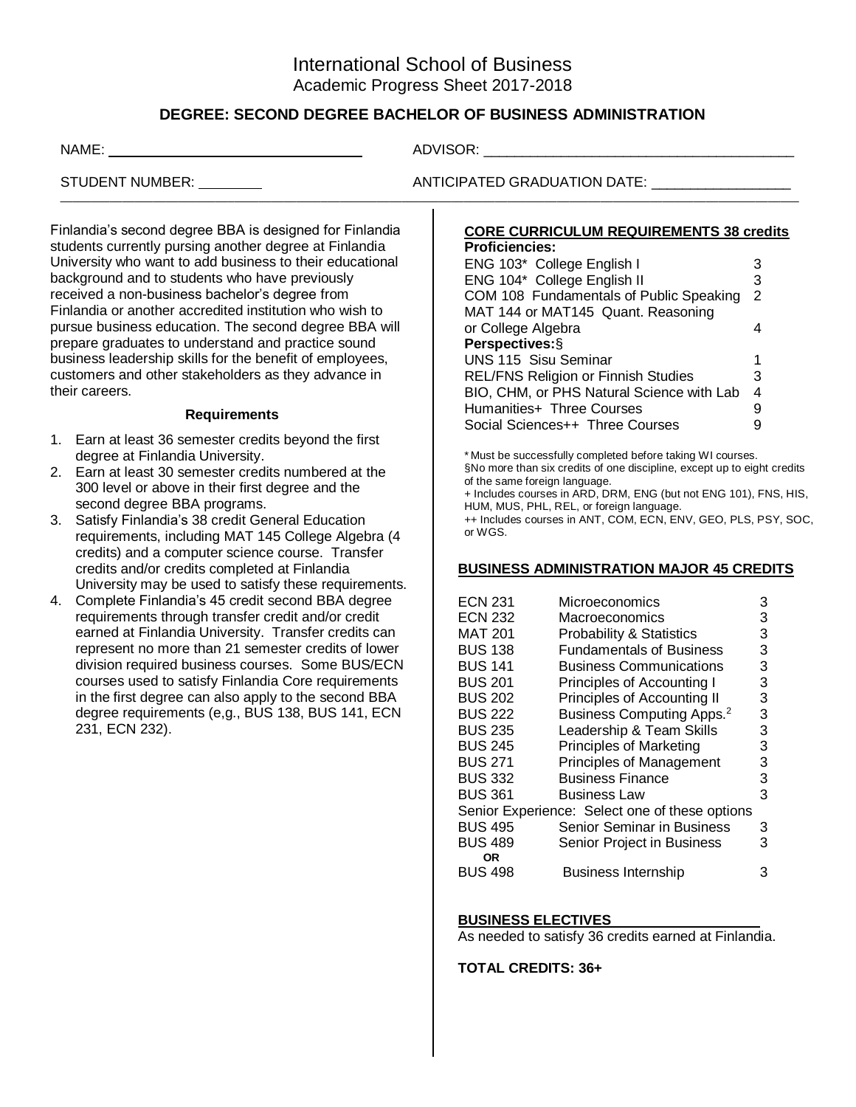# **DEGREE: SECOND DEGREE BACHELOR OF BUSINESS ADMINISTRATION**

\_\_\_\_\_\_\_\_\_\_\_\_\_\_\_\_\_\_\_\_\_\_\_\_\_\_\_\_\_\_\_\_\_\_\_\_\_\_\_\_\_\_\_\_\_\_\_\_\_\_\_\_\_\_\_\_\_\_\_\_\_\_\_\_\_\_\_\_\_\_\_\_\_\_\_\_\_\_\_\_\_\_\_\_\_\_\_\_\_\_\_\_\_\_\_\_\_\_\_\_\_\_\_\_\_\_\_\_\_\_\_\_\_\_\_\_\_\_\_

their careers.

NAME: ADVISOR: \_\_\_\_\_\_\_\_\_\_\_\_\_\_\_\_\_\_\_\_\_\_\_\_\_\_\_\_\_\_\_\_\_\_\_\_\_\_\_\_

STUDENT NUMBER: ANTICIPATED GRADUATION DATE: \_\_\_\_\_\_\_\_\_\_\_\_\_\_\_\_\_\_

#### **CORE CURRICULUM REQUIREMENTS 38 credits Proficiencies:**

| ENG 103* College English I                 | З |  |
|--------------------------------------------|---|--|
| ENG 104* College English II                | 3 |  |
| COM 108 Fundamentals of Public Speaking    | 2 |  |
| MAT 144 or MAT145 Quant. Reasoning         |   |  |
| or College Algebra                         |   |  |
| Perspectives: §                            |   |  |
| <b>UNS 115 Sisu Seminar</b>                |   |  |
| <b>REL/FNS Religion or Finnish Studies</b> | З |  |
| BIO, CHM, or PHS Natural Science with Lab  |   |  |
| Humanities+ Three Courses                  | 9 |  |
| Social Sciences++ Three Courses            |   |  |

\* Must be successfully completed before taking WI courses. §No more than six credits of one discipline, except up to eight credits of the same foreign language. + Includes courses in ARD, DRM, ENG (but not ENG 101), FNS, HIS, HUM, MUS, PHL, REL, or foreign language.

++ Includes courses in ANT, COM, ECN, ENV, GEO, PLS, PSY, SOC, or WGS.

#### **BUSINESS ADMINISTRATION MAJOR 45 CREDITS**

| <b>ECN 231</b> | Microeconomics                                 | 3 |
|----------------|------------------------------------------------|---|
| <b>ECN 232</b> | Macroeconomics                                 | 3 |
| <b>MAT 201</b> | <b>Probability &amp; Statistics</b>            | 3 |
| <b>BUS 138</b> | <b>Fundamentals of Business</b>                | 3 |
| <b>BUS 141</b> | <b>Business Communications</b>                 | 3 |
| <b>BUS 201</b> | Principles of Accounting I                     | 3 |
| <b>BUS 202</b> | Principles of Accounting II                    | 3 |
| <b>BUS 222</b> | Business Computing Apps. <sup>2</sup>          | 3 |
| <b>BUS 235</b> | Leadership & Team Skills                       | 3 |
| <b>BUS 245</b> | <b>Principles of Marketing</b>                 | 3 |
| <b>BUS 271</b> | <b>Principles of Management</b>                | 3 |
| <b>BUS 332</b> | <b>Business Finance</b>                        | 3 |
| <b>BUS 361</b> | Business Law                                   | 3 |
|                | Senior Experience: Select one of these options |   |
| <b>BUS 495</b> | Senior Seminar in Business                     | 3 |
| <b>BUS 489</b> | Senior Project in Business                     | 3 |
| OR             |                                                |   |
| <b>BUS 498</b> | <b>Business Internship</b>                     | З |

## **BUSINESS ELECTIVES**

As needed to satisfy 36 credits earned at Finlandia.

**TOTAL CREDITS: 36+**

**Requirements** 1. Earn at least 36 semester credits beyond the first degree at Finlandia University.

Finlandia's second degree BBA is designed for Finlandia students currently pursing another degree at Finlandia University who want to add business to their educational

background and to students who have previously received a non-business bachelor's degree from Finlandia or another accredited institution who wish to pursue business education. The second degree BBA will prepare graduates to understand and practice sound business leadership skills for the benefit of employees, customers and other stakeholders as they advance in

- 2. Earn at least 30 semester credits numbered at the 300 level or above in their first degree and the second degree BBA programs.
- 3. Satisfy Finlandia's 38 credit General Education requirements, including MAT 145 College Algebra (4 credits) and a computer science course. Transfer credits and/or credits completed at Finlandia University may be used to satisfy these requirements.
- 4. Complete Finlandia's 45 credit second BBA degree requirements through transfer credit and/or credit earned at Finlandia University. Transfer credits can represent no more than 21 semester credits of lower division required business courses. Some BUS/ECN courses used to satisfy Finlandia Core requirements in the first degree can also apply to the second BBA degree requirements (e,g., BUS 138, BUS 141, ECN 231, ECN 232).